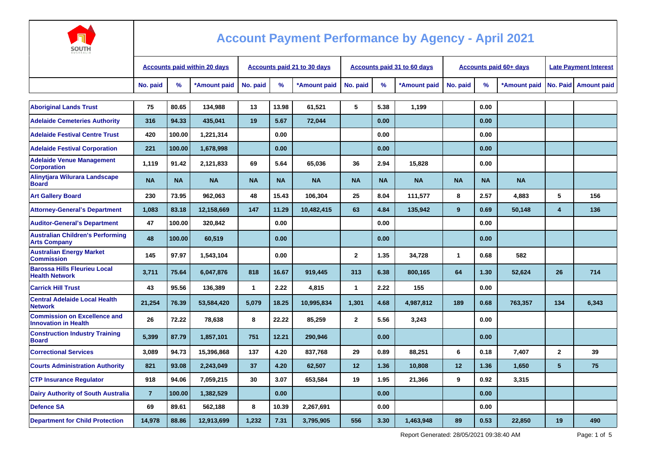

| -----<br><b>AUSTRALIA</b>                                          |                                     |           |              |                                    |           |              |              |           |                                    |              |                               |                              |                         |                        |
|--------------------------------------------------------------------|-------------------------------------|-----------|--------------|------------------------------------|-----------|--------------|--------------|-----------|------------------------------------|--------------|-------------------------------|------------------------------|-------------------------|------------------------|
|                                                                    | <b>Accounts paid within 20 days</b> |           |              | <b>Accounts paid 21 to 30 days</b> |           |              |              |           | <b>Accounts paid 31 to 60 days</b> |              | <b>Accounts paid 60+ days</b> | <b>Late Payment Interest</b> |                         |                        |
|                                                                    | No. paid                            | %         | *Amount paid | No. paid                           | %         | *Amount paid | No. paid     | %         | *Amount paid                       | No. paid     | $\frac{9}{6}$                 | *Amount paid                 |                         | No. Paid   Amount paid |
| <b>Aboriginal Lands Trust</b>                                      | 75                                  | 80.65     | 134,988      | 13                                 | 13.98     | 61,521       | 5            | 5.38      | 1,199                              |              | 0.00                          |                              |                         |                        |
| <b>Adelaide Cemeteries Authority</b>                               | 316                                 | 94.33     | 435,041      | 19                                 | 5.67      | 72,044       |              | 0.00      |                                    |              | 0.00                          |                              |                         |                        |
| <b>Adelaide Festival Centre Trust</b>                              | 420                                 | 100.00    | 1,221,314    |                                    | 0.00      |              |              | 0.00      |                                    |              | 0.00                          |                              |                         |                        |
| <b>Adelaide Festival Corporation</b>                               | 221                                 | 100.00    | 1,678,998    |                                    | 0.00      |              |              | 0.00      |                                    |              | 0.00                          |                              |                         |                        |
| <b>Adelaide Venue Management</b><br><b>Corporation</b>             | 1,119                               | 91.42     | 2,121,833    | 69                                 | 5.64      | 65,036       | 36           | 2.94      | 15,828                             |              | 0.00                          |                              |                         |                        |
| Alinytjara Wilurara Landscape<br><b>Board</b>                      | <b>NA</b>                           | <b>NA</b> | <b>NA</b>    | <b>NA</b>                          | <b>NA</b> | <b>NA</b>    | <b>NA</b>    | <b>NA</b> | <b>NA</b>                          | <b>NA</b>    | <b>NA</b>                     | <b>NA</b>                    |                         |                        |
| <b>Art Gallery Board</b>                                           | 230                                 | 73.95     | 962,063      | 48                                 | 15.43     | 106.304      | 25           | 8.04      | 111,577                            | 8            | 2.57                          | 4,883                        | 5                       | 156                    |
| <b>Attorney-General's Department</b>                               | 1,083                               | 83.18     | 12,158,669   | 147                                | 11.29     | 10,482,415   | 63           | 4.84      | 135,942                            | 9            | 0.69                          | 50,148                       | $\overline{\mathbf{4}}$ | 136                    |
| <b>Auditor-General's Department</b>                                | 47                                  | 100.00    | 320,842      |                                    | 0.00      |              |              | 0.00      |                                    |              | 0.00                          |                              |                         |                        |
| <b>Australian Children's Performing</b><br><b>Arts Company</b>     | 48                                  | 100.00    | 60,519       |                                    | 0.00      |              |              | 0.00      |                                    |              | 0.00                          |                              |                         |                        |
| <b>Australian Energy Market</b><br><b>Commission</b>               | 145                                 | 97.97     | 1,543,104    |                                    | 0.00      |              | $\mathbf{2}$ | 1.35      | 34,728                             | $\mathbf{1}$ | 0.68                          | 582                          |                         |                        |
| <b>Barossa Hills Fleurieu Local</b><br><b>Health Network</b>       | 3,711                               | 75.64     | 6,047,876    | 818                                | 16.67     | 919,445      | 313          | 6.38      | 800,165                            | 64           | 1.30                          | 52,624                       | 26                      | 714                    |
| <b>Carrick Hill Trust</b>                                          | 43                                  | 95.56     | 136,389      | $\mathbf{1}$                       | 2.22      | 4,815        | $\mathbf{1}$ | 2.22      | 155                                |              | 0.00                          |                              |                         |                        |
| <b>Central Adelaide Local Health</b><br><b>Network</b>             | 21,254                              | 76.39     | 53,584,420   | 5.079                              | 18.25     | 10,995,834   | 1.301        | 4.68      | 4,987,812                          | 189          | 0.68                          | 763,357                      | 134                     | 6,343                  |
| <b>Commission on Excellence and</b><br><b>Innovation in Health</b> | 26                                  | 72.22     | 78,638       | 8                                  | 22.22     | 85,259       | $\mathbf{2}$ | 5.56      | 3,243                              |              | 0.00                          |                              |                         |                        |
| <b>Construction Industry Training</b><br><b>Board</b>              | 5,399                               | 87.79     | 1,857,101    | 751                                | 12.21     | 290.946      |              | 0.00      |                                    |              | 0.00                          |                              |                         |                        |
| <b>Correctional Services</b>                                       | 3,089                               | 94.73     | 15,396,868   | 137                                | 4.20      | 837.768      | 29           | 0.89      | 88,251                             | 6            | 0.18                          | 7.407                        | $\mathbf{2}$            | 39                     |
| <b>Courts Administration Authority</b>                             | 821                                 | 93.08     | 2,243,049    | 37                                 | 4.20      | 62,507       | 12           | 1.36      | 10,808                             | 12           | 1.36                          | 1,650                        | 5                       | 75                     |
| <b>CTP Insurance Regulator</b>                                     | 918                                 | 94.06     | 7,059,215    | 30                                 | 3.07      | 653,584      | 19           | 1.95      | 21,366                             | 9            | 0.92                          | 3,315                        |                         |                        |
| <b>Dairy Authority of South Australia</b>                          | $\overline{7}$                      | 100.00    | 1,382,529    |                                    | 0.00      |              |              | 0.00      |                                    |              | 0.00                          |                              |                         |                        |
| <b>Defence SA</b>                                                  | 69                                  | 89.61     | 562,188      | 8                                  | 10.39     | 2,267,691    |              | 0.00      |                                    |              | 0.00                          |                              |                         |                        |
| <b>Department for Child Protection</b>                             | 14,978                              | 88.86     | 12,913,699   | 1,232                              | 7.31      | 3,795,905    | 556          | 3.30      | 1,463,948                          | 89           | 0.53                          | 22,850                       | 19                      | 490                    |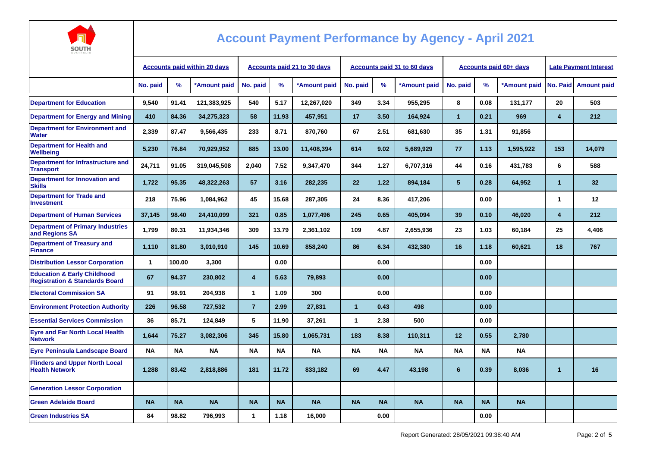

| <b>AUSTRALIA</b>                                                                    |                                     |           |              |                                    |           |              |                                    |           |              |                |                               |                              |                         |                      |
|-------------------------------------------------------------------------------------|-------------------------------------|-----------|--------------|------------------------------------|-----------|--------------|------------------------------------|-----------|--------------|----------------|-------------------------------|------------------------------|-------------------------|----------------------|
|                                                                                     | <b>Accounts paid within 20 days</b> |           |              | <b>Accounts paid 21 to 30 days</b> |           |              | <b>Accounts paid 31 to 60 days</b> |           |              |                | <b>Accounts paid 60+ days</b> | <b>Late Payment Interest</b> |                         |                      |
|                                                                                     | No. paid                            | %         | *Amount paid | No. paid                           | %         | *Amount paid | No. paid                           | %         | *Amount paid | No. paid       | %                             | *Amount paid                 |                         | No. Paid Amount paid |
| <b>Department for Education</b>                                                     | 9,540                               | 91.41     | 121,383,925  | 540                                | 5.17      | 12,267,020   | 349                                | 3.34      | 955,295      | 8              | 0.08                          | 131,177                      | 20                      | 503                  |
| <b>Department for Energy and Mining</b>                                             | 410                                 | 84.36     | 34,275,323   | 58                                 | 11.93     | 457,951      | 17                                 | 3.50      | 164,924      | $\mathbf{1}$   | 0.21                          | 969                          | $\overline{\mathbf{4}}$ | 212                  |
| <b>Department for Environment and</b><br><b>Water</b>                               | 2.339                               | 87.47     | 9,566,435    | 233                                | 8.71      | 870,760      | 67                                 | 2.51      | 681,630      | 35             | 1.31                          | 91,856                       |                         |                      |
| <b>Department for Health and</b><br>Wellbeina                                       | 5,230                               | 76.84     | 70,929,952   | 885                                | 13.00     | 11,408,394   | 614                                | 9.02      | 5,689,929    | 77             | 1.13                          | 1,595,922                    | 153                     | 14,079               |
| Department for Infrastructure and<br><b>Transport</b>                               | 24,711                              | 91.05     | 319,045,508  | 2,040                              | 7.52      | 9,347,470    | 344                                | 1.27      | 6,707,316    | 44             | 0.16                          | 431,783                      | 6                       | 588                  |
| <b>Department for Innovation and</b><br><b>Skills</b>                               | 1,722                               | 95.35     | 48,322,263   | 57                                 | 3.16      | 282,235      | 22                                 | 1.22      | 894,184      | 5 <sup>5</sup> | 0.28                          | 64,952                       | 1                       | 32                   |
| <b>Department for Trade and</b><br><b>Investment</b>                                | 218                                 | 75.96     | 1,084,962    | 45                                 | 15.68     | 287.305      | 24                                 | 8.36      | 417.206      |                | 0.00                          |                              | 1                       | 12                   |
| <b>Department of Human Services</b>                                                 | 37,145                              | 98.40     | 24,410,099   | 321                                | 0.85      | 1,077,496    | 245                                | 0.65      | 405,094      | 39             | 0.10                          | 46,020                       | $\overline{\mathbf{4}}$ | 212                  |
| <b>Department of Primary Industries</b><br>and Regions SA                           | 1,799                               | 80.31     | 11,934,346   | 309                                | 13.79     | 2,361,102    | 109                                | 4.87      | 2,655,936    | 23             | 1.03                          | 60,184                       | 25                      | 4,406                |
| <b>Department of Treasury and</b><br><b>Finance</b>                                 | 1,110                               | 81.80     | 3,010,910    | 145                                | 10.69     | 858,240      | 86                                 | 6.34      | 432,380      | 16             | 1.18                          | 60,621                       | 18                      | 767                  |
| <b>Distribution Lessor Corporation</b>                                              | $\mathbf{1}$                        | 100.00    | 3,300        |                                    | 0.00      |              |                                    | 0.00      |              |                | 0.00                          |                              |                         |                      |
| <b>Education &amp; Early Childhood</b><br><b>Registration &amp; Standards Board</b> | 67                                  | 94.37     | 230,802      | $\overline{\mathbf{4}}$            | 5.63      | 79,893       |                                    | 0.00      |              |                | 0.00                          |                              |                         |                      |
| <b>Electoral Commission SA</b>                                                      | 91                                  | 98.91     | 204,938      | $\mathbf{1}$                       | 1.09      | 300          |                                    | 0.00      |              |                | 0.00                          |                              |                         |                      |
| <b>Environment Protection Authority</b>                                             | 226                                 | 96.58     | 727,532      | $\overline{7}$                     | 2.99      | 27,831       | $\mathbf{1}$                       | 0.43      | 498          |                | 0.00                          |                              |                         |                      |
| <b>Essential Services Commission</b>                                                | 36                                  | 85.71     | 124,849      | 5                                  | 11.90     | 37,261       | $\mathbf{1}$                       | 2.38      | 500          |                | 0.00                          |                              |                         |                      |
| <b>Eyre and Far North Local Health</b><br><b>Network</b>                            | 1.644                               | 75.27     | 3,082,306    | 345                                | 15.80     | 1,065,731    | 183                                | 8.38      | 110,311      | 12             | 0.55                          | 2,780                        |                         |                      |
| <b>Eyre Peninsula Landscape Board</b>                                               | <b>NA</b>                           | <b>NA</b> | <b>NA</b>    | <b>NA</b>                          | <b>NA</b> | <b>NA</b>    | <b>NA</b>                          | <b>NA</b> | <b>NA</b>    | <b>NA</b>      | <b>NA</b>                     | <b>NA</b>                    |                         |                      |
| <b>Flinders and Upper North Local</b><br><b>Health Network</b>                      | 1,288                               | 83.42     | 2,818,886    | 181                                | 11.72     | 833,182      | 69                                 | 4.47      | 43,198       | $6\phantom{1}$ | 0.39                          | 8,036                        | $\mathbf{1}$            | 16                   |
| <b>Generation Lessor Corporation</b>                                                |                                     |           |              |                                    |           |              |                                    |           |              |                |                               |                              |                         |                      |
| <b>Green Adelaide Board</b>                                                         | <b>NA</b>                           | <b>NA</b> | <b>NA</b>    | <b>NA</b>                          | <b>NA</b> | <b>NA</b>    | <b>NA</b>                          | <b>NA</b> | <b>NA</b>    | <b>NA</b>      | <b>NA</b>                     | <b>NA</b>                    |                         |                      |
| <b>Green Industries SA</b>                                                          | 84                                  | 98.82     | 796,993      | $\mathbf{1}$                       | 1.18      | 16,000       |                                    | 0.00      |              |                | 0.00                          |                              |                         |                      |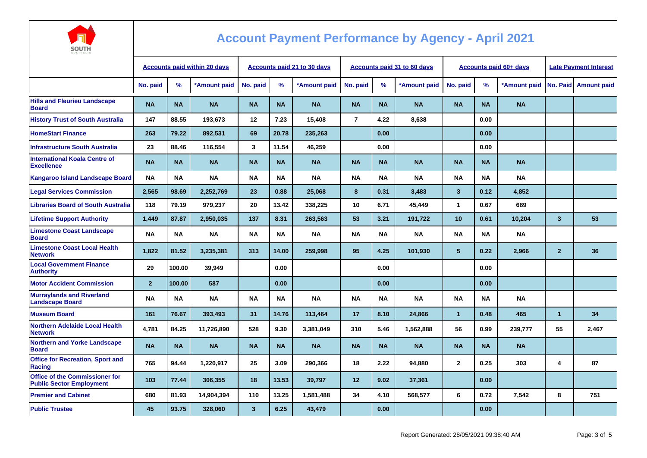

| AUSTRALIA                                                                |                                     |           |              |                             |           |              |                |           |                             |                         |                        |                              |                         |                        |
|--------------------------------------------------------------------------|-------------------------------------|-----------|--------------|-----------------------------|-----------|--------------|----------------|-----------|-----------------------------|-------------------------|------------------------|------------------------------|-------------------------|------------------------|
|                                                                          | <b>Accounts paid within 20 days</b> |           |              | Accounts paid 21 to 30 days |           |              |                |           | Accounts paid 31 to 60 days |                         | Accounts paid 60+ days | <b>Late Payment Interest</b> |                         |                        |
|                                                                          | No. paid                            | $\%$      | *Amount paid | No. paid                    | %         | *Amount paid | No. paid       | $\%$      | *Amount paid                | No. paid                | $\%$                   | *Amount paid                 |                         | No. Paid   Amount paid |
| <b>Hills and Fleurieu Landscape</b><br><b>Board</b>                      | <b>NA</b>                           | <b>NA</b> | <b>NA</b>    | <b>NA</b>                   | <b>NA</b> | <b>NA</b>    | <b>NA</b>      | <b>NA</b> | <b>NA</b>                   | <b>NA</b>               | <b>NA</b>              | <b>NA</b>                    |                         |                        |
| <b>History Trust of South Australia</b>                                  | 147                                 | 88.55     | 193,673      | 12                          | 7.23      | 15,408       | $\overline{7}$ | 4.22      | 8,638                       |                         | 0.00                   |                              |                         |                        |
| <b>HomeStart Finance</b>                                                 | 263                                 | 79.22     | 892,531      | 69                          | 20.78     | 235.263      |                | 0.00      |                             |                         | 0.00                   |                              |                         |                        |
| <b>Infrastructure South Australia</b>                                    | 23                                  | 88.46     | 116.554      | 3                           | 11.54     | 46.259       |                | 0.00      |                             |                         | 0.00                   |                              |                         |                        |
| <b>International Koala Centre of</b><br><b>Excellence</b>                | <b>NA</b>                           | <b>NA</b> | <b>NA</b>    | <b>NA</b>                   | <b>NA</b> | <b>NA</b>    | <b>NA</b>      | <b>NA</b> | <b>NA</b>                   | <b>NA</b>               | <b>NA</b>              | <b>NA</b>                    |                         |                        |
| <b>Kangaroo Island Landscape Board</b>                                   | <b>NA</b>                           | <b>NA</b> | <b>NA</b>    | <b>NA</b>                   | <b>NA</b> | <b>NA</b>    | <b>NA</b>      | <b>NA</b> | <b>NA</b>                   | <b>NA</b>               | <b>NA</b>              | <b>NA</b>                    |                         |                        |
| <b>Legal Services Commission</b>                                         | 2,565                               | 98.69     | 2,252,769    | 23                          | 0.88      | 25,068       | 8              | 0.31      | 3,483                       | $\overline{\mathbf{3}}$ | 0.12                   | 4,852                        |                         |                        |
| <b>Libraries Board of South Australia</b>                                | 118                                 | 79.19     | 979,237      | 20                          | 13.42     | 338,225      | 10             | 6.71      | 45,449                      | 1                       | 0.67                   | 689                          |                         |                        |
| <b>Lifetime Support Authority</b>                                        | 1,449                               | 87.87     | 2,950,035    | 137                         | 8.31      | 263,563      | 53             | 3.21      | 191,722                     | 10                      | 0.61                   | 10,204                       | $\overline{\mathbf{3}}$ | 53                     |
| <b>Limestone Coast Landscape</b><br><b>Board</b>                         | <b>NA</b>                           | <b>NA</b> | <b>NA</b>    | <b>NA</b>                   | <b>NA</b> | <b>NA</b>    | <b>NA</b>      | ΝA        | <b>NA</b>                   | <b>NA</b>               | <b>NA</b>              | <b>NA</b>                    |                         |                        |
| <b>Limestone Coast Local Health</b><br><b>Network</b>                    | 1,822                               | 81.52     | 3,235,381    | 313                         | 14.00     | 259,998      | 95             | 4.25      | 101,930                     | $5\phantom{.0}$         | 0.22                   | 2,966                        | $\overline{2}$          | 36                     |
| <b>Local Government Finance</b><br><b>Authority</b>                      | 29                                  | 100.00    | 39,949       |                             | 0.00      |              |                | 0.00      |                             |                         | 0.00                   |                              |                         |                        |
| <b>Motor Accident Commission</b>                                         | $\overline{2}$                      | 100.00    | 587          |                             | 0.00      |              |                | 0.00      |                             |                         | 0.00                   |                              |                         |                        |
| <b>Murraylands and Riverland</b><br><b>Landscape Board</b>               | <b>NA</b>                           | <b>NA</b> | <b>NA</b>    | <b>NA</b>                   | <b>NA</b> | <b>NA</b>    | <b>NA</b>      | ΝA        | <b>NA</b>                   | <b>NA</b>               | <b>NA</b>              | <b>NA</b>                    |                         |                        |
| <b>Museum Board</b>                                                      | 161                                 | 76.67     | 393,493      | 31                          | 14.76     | 113,464      | 17             | 8.10      | 24,866                      | $\mathbf{1}$            | 0.48                   | 465                          | $\blacktriangleleft$    | 34                     |
| <b>Northern Adelaide Local Health</b><br><b>Network</b>                  | 4,781                               | 84.25     | 11,726,890   | 528                         | 9.30      | 3,381,049    | 310            | 5.46      | 1,562,888                   | 56                      | 0.99                   | 239,777                      | 55                      | 2,467                  |
| <b>Northern and Yorke Landscape</b><br><b>Board</b>                      | <b>NA</b>                           | <b>NA</b> | <b>NA</b>    | <b>NA</b>                   | <b>NA</b> | <b>NA</b>    | <b>NA</b>      | <b>NA</b> | <b>NA</b>                   | <b>NA</b>               | <b>NA</b>              | <b>NA</b>                    |                         |                        |
| <b>Office for Recreation, Sport and</b><br>Racing                        | 765                                 | 94.44     | 1,220,917    | 25                          | 3.09      | 290,366      | 18             | 2.22      | 94,880                      | $\mathbf{2}$            | 0.25                   | 303                          | 4                       | 87                     |
| <b>Office of the Commissioner for</b><br><b>Public Sector Employment</b> | 103                                 | 77.44     | 306,355      | 18                          | 13.53     | 39,797       | 12             | 9.02      | 37,361                      |                         | 0.00                   |                              |                         |                        |
| <b>Premier and Cabinet</b>                                               | 680                                 | 81.93     | 14,904,394   | 110                         | 13.25     | 1,581,488    | 34             | 4.10      | 568,577                     | 6                       | 0.72                   | 7,542                        | 8                       | 751                    |
| <b>Public Trustee</b>                                                    | 45                                  | 93.75     | 328,060      | 3                           | 6.25      | 43,479       |                | 0.00      |                             |                         | 0.00                   |                              |                         |                        |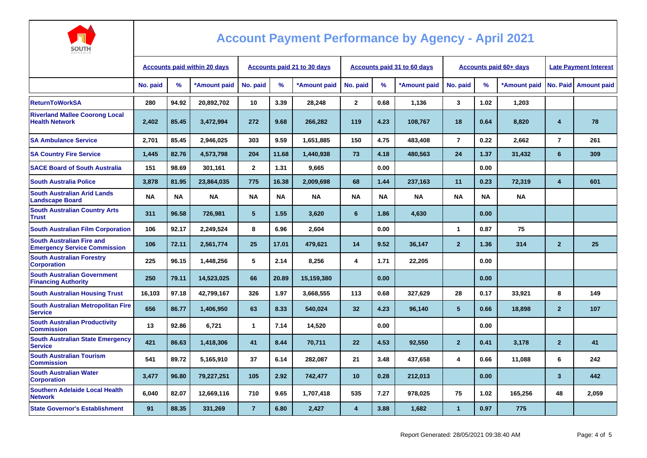

| AUSTRALIA                                                               |                                     |           |              |                                    |           |              |                         |           |                                    |                         |                               |                              |                         |                        |
|-------------------------------------------------------------------------|-------------------------------------|-----------|--------------|------------------------------------|-----------|--------------|-------------------------|-----------|------------------------------------|-------------------------|-------------------------------|------------------------------|-------------------------|------------------------|
|                                                                         | <b>Accounts paid within 20 days</b> |           |              | <b>Accounts paid 21 to 30 days</b> |           |              |                         |           | <b>Accounts paid 31 to 60 days</b> |                         | <b>Accounts paid 60+ days</b> | <b>Late Payment Interest</b> |                         |                        |
|                                                                         | No. paid                            | %         | *Amount paid | No. paid                           | %         | *Amount paid | No. paid                | $\%$      | *Amount paid                       | No. paid                | %                             | *Amount paid                 |                         | No. Paid   Amount paid |
| <b>ReturnToWorkSA</b>                                                   | 280                                 | 94.92     | 20.892.702   | 10 <sup>1</sup>                    | 3.39      | 28.248       | $\overline{2}$          | 0.68      | 1.136                              | 3                       | 1.02                          | 1.203                        |                         |                        |
| <b>Riverland Mallee Coorong Local</b><br><b>Health Network</b>          | 2,402                               | 85.45     | 3,472,994    | 272                                | 9.68      | 266,282      | 119                     | 4.23      | 108,767                            | 18                      | 0.64                          | 8,820                        | 4                       | 78                     |
| <b>SA Ambulance Service</b>                                             | 2.701                               | 85.45     | 2,946,025    | 303                                | 9.59      | 1,651,885    | 150                     | 4.75      | 483,408                            | $\overline{7}$          | 0.22                          | 2,662                        | $\overline{7}$          | 261                    |
| <b>SA Country Fire Service</b>                                          | 1,445                               | 82.76     | 4,573,798    | 204                                | 11.68     | 1,440,938    | 73                      | 4.18      | 480,563                            | 24                      | 1.37                          | 31,432                       | 6                       | 309                    |
| <b>SACE Board of South Australia</b>                                    | 151                                 | 98.69     | 301.161      | $\mathbf{2}$                       | 1.31      | 9.665        |                         | 0.00      |                                    |                         | 0.00                          |                              |                         |                        |
| <b>South Australia Police</b>                                           | 3,878                               | 81.95     | 23,864,035   | 775                                | 16.38     | 2,009,698    | 68                      | 1.44      | 237,163                            | 11                      | 0.23                          | 72,319                       | 4                       | 601                    |
| <b>South Australian Arid Lands</b><br><b>Landscape Board</b>            | <b>NA</b>                           | <b>NA</b> | <b>NA</b>    | <b>NA</b>                          | <b>NA</b> | <b>NA</b>    | <b>NA</b>               | <b>NA</b> | <b>NA</b>                          | <b>NA</b>               | <b>NA</b>                     | <b>NA</b>                    |                         |                        |
| <b>South Australian Country Arts</b><br><b>Trust</b>                    | 311                                 | 96.58     | 726,981      | 5                                  | 1.55      | 3,620        | 6                       | 1.86      | 4,630                              |                         | 0.00                          |                              |                         |                        |
| <b>South Australian Film Corporation</b>                                | 106                                 | 92.17     | 2,249,524    | 8                                  | 6.96      | 2,604        |                         | 0.00      |                                    | $\overline{\mathbf{1}}$ | 0.87                          | 75                           |                         |                        |
| <b>South Australian Fire and</b><br><b>Emergency Service Commission</b> | 106                                 | 72.11     | 2,561,774    | 25                                 | 17.01     | 479.621      | 14                      | 9.52      | 36.147                             | $\overline{2}$          | 1.36                          | 314                          | $\overline{2}$          | 25                     |
| <b>South Australian Forestry</b><br><b>Corporation</b>                  | 225                                 | 96.15     | 1,448,256    | 5                                  | 2.14      | 8,256        | 4                       | 1.71      | 22,205                             |                         | 0.00                          |                              |                         |                        |
| <b>South Australian Government</b><br><b>Financing Authority</b>        | 250                                 | 79.11     | 14,523,025   | 66                                 | 20.89     | 15,159,380   |                         | 0.00      |                                    |                         | 0.00                          |                              |                         |                        |
| <b>South Australian Housing Trust</b>                                   | 16,103                              | 97.18     | 42,799,167   | 326                                | 1.97      | 3,668,555    | 113                     | 0.68      | 327.629                            | 28                      | 0.17                          | 33,921                       | 8                       | 149                    |
| <b>South Australian Metropolitan Fire</b><br><b>Service</b>             | 656                                 | 86.77     | 1,406,950    | 63                                 | 8.33      | 540,024      | 32                      | 4.23      | 96,140                             | 5 <sup>5</sup>          | 0.66                          | 18,898                       | $\overline{2}$          | 107                    |
| <b>South Australian Productivity</b><br><b>Commission</b>               | 13                                  | 92.86     | 6,721        | $\mathbf{1}$                       | 7.14      | 14,520       |                         | 0.00      |                                    |                         | 0.00                          |                              |                         |                        |
| <b>South Australian State Emergency</b><br><b>Service</b>               | 421                                 | 86.63     | 1,418,306    | 41                                 | 8.44      | 70.711       | 22                      | 4.53      | 92,550                             | $\overline{2}$          | 0.41                          | 3.178                        | $\overline{2}$          | 41                     |
| <b>South Australian Tourism</b><br><b>Commission</b>                    | 541                                 | 89.72     | 5,165,910    | 37                                 | 6.14      | 282,087      | 21                      | 3.48      | 437,658                            | 4                       | 0.66                          | 11,088                       | 6                       | 242                    |
| <b>South Australian Water</b><br><b>Corporation</b>                     | 3,477                               | 96.80     | 79,227,251   | 105                                | 2.92      | 742,477      | 10                      | 0.28      | 212,013                            |                         | 0.00                          |                              | $\overline{\mathbf{3}}$ | 442                    |
| <b>Southern Adelaide Local Health</b><br><b>Network</b>                 | 6,040                               | 82.07     | 12,669,116   | 710                                | 9.65      | 1,707,418    | 535                     | 7.27      | 978,025                            | 75                      | 1.02                          | 165,256                      | 48                      | 2,059                  |
| <b>State Governor's Establishment</b>                                   | 91                                  | 88.35     | 331,269      | $\overline{7}$                     | 6.80      | 2,427        | $\overline{\mathbf{4}}$ | 3.88      | 1,682                              | $\mathbf{1}$            | 0.97                          | 775                          |                         |                        |